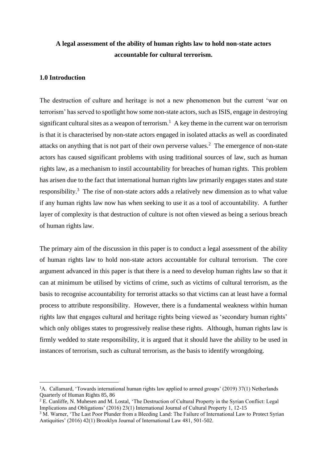# **A legal assessment of the ability of human rights law to hold non-state actors accountable for cultural terrorism.**

### **1.0 Introduction**

The destruction of culture and heritage is not a new phenomenon but the current 'war on terrorism' has served to spotlight how some non-state actors, such as ISIS, engage in destroying significant cultural sites as a weapon of terrorism.<sup>1</sup> A key theme in the current war on terrorism is that it is characterised by non-state actors engaged in isolated attacks as well as coordinated attacks on anything that is not part of their own perverse values.<sup>2</sup> The emergence of non-state actors has caused significant problems with using traditional sources of law, such as human rights law, as a mechanism to instil accountability for breaches of human rights. This problem has arisen due to the fact that international human rights law primarily engages states and state responsibility.<sup>3</sup> The rise of non-state actors adds a relatively new dimension as to what value if any human rights law now has when seeking to use it as a tool of accountability. A further layer of complexity is that destruction of culture is not often viewed as being a serious breach of human rights law.

The primary aim of the discussion in this paper is to conduct a legal assessment of the ability of human rights law to hold non-state actors accountable for cultural terrorism. The core argument advanced in this paper is that there is a need to develop human rights law so that it can at minimum be utilised by victims of crime, such as victims of cultural terrorism, as the basis to recognise accountability for terrorist attacks so that victims can at least have a formal process to attribute responsibility. However, there is a fundamental weakness within human rights law that engages cultural and heritage rights being viewed as 'secondary human rights' which only obliges states to progressively realise these rights. Although, human rights law is firmly wedded to state responsibility, it is argued that it should have the ability to be used in instances of terrorism, such as cultural terrorism, as the basis to identify wrongdoing.

<sup>&</sup>lt;sup>1</sup>A. Callamard, 'Towards international human rights law applied to armed groups' (2019) 37(1) Netherlands Quarterly of Human Rights 85, 86

<sup>2</sup> E. Cunliffe, N. Muhesen and M. Lostal, 'The Destruction of Cultural Property in the Syrian Conflict: Legal Implications and Obligations' (2016) 23(1) International Journal of Cultural Property 1, 12-15

<sup>&</sup>lt;sup>3</sup> M. Warner, 'The Last Poor Plunder from a Bleeding Land: The Failure of International Law to Protect Syrian Antiquities' (2016) 42(1) Brooklyn Journal of International Law 481, 501-502.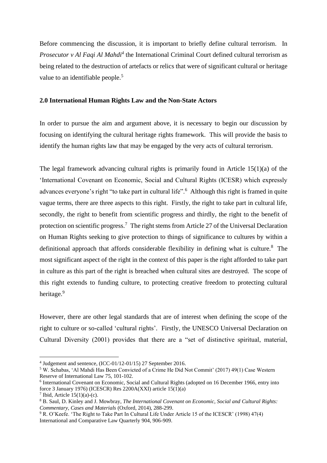Before commencing the discussion, it is important to briefly define cultural terrorism. In *Prosecutor v Al Faqi Al Mahdi<sup>4</sup>* the International Criminal Court defined cultural terrorism as being related to the destruction of artefacts or relics that were of significant cultural or heritage value to an identifiable people.<sup>5</sup>

#### **2.0 International Human Rights Law and the Non-State Actors**

In order to pursue the aim and argument above, it is necessary to begin our discussion by focusing on identifying the cultural heritage rights framework. This will provide the basis to identify the human rights law that may be engaged by the very acts of cultural terrorism.

The legal framework advancing cultural rights is primarily found in Article 15(1)(a) of the 'International Covenant on Economic, Social and Cultural Rights (ICESR) which expressly advances everyone's right "to take part in cultural life".<sup>6</sup> Although this right is framed in quite vague terms, there are three aspects to this right. Firstly, the right to take part in cultural life, secondly, the right to benefit from scientific progress and thirdly, the right to the benefit of protection on scientific progress.<sup>7</sup> The right stems from Article 27 of the Universal Declaration on Human Rights seeking to give protection to things of significance to cultures by within a definitional approach that affords considerable flexibility in defining what is culture.<sup>8</sup> The most significant aspect of the right in the context of this paper is the right afforded to take part in culture as this part of the right is breached when cultural sites are destroyed. The scope of this right extends to funding culture, to protecting creative freedom to protecting cultural heritage.<sup>9</sup>

However, there are other legal standards that are of interest when defining the scope of the right to culture or so-called 'cultural rights'. Firstly, the UNESCO Universal Declaration on Cultural Diversity (2001) provides that there are a "set of distinctive spiritual, material,

<sup>4</sup> Judgement and sentence, (ICC-01/12-01/15) 27 September 2016.

<sup>5</sup> W. Schabas, 'Al Mahdi Has Been Convicted of a Crime He Did Not Commit' (2017) 49(1) Case Western Reserve of International Law 75, 101-102.

<sup>&</sup>lt;sup>6</sup> International Covenant on Economic, Social and Cultural Rights (adopted on 16 December 1966, entry into force 3 January 1976) (ICESCR) Res 2200A(XXI) article 15(1)(a)

<sup>&</sup>lt;sup>7</sup> Ibid, Article  $15(1)(a)-(c)$ .

<sup>8</sup> B. Saul, D. Kinley and J. Mowbray, *The International Covenant on Economic, Social and Cultural Rights: Commentary, Cases and Materials* (Oxford, 2014), 288-299.

<sup>9</sup> R. O'Keefe. 'The Right to Take Part In Cultural Life Under Article 15 of the ICESCR' (1998) 47(4) International and Comparative Law Quarterly 904, 906-909.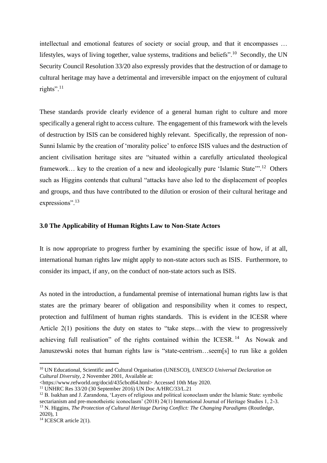intellectual and emotional features of society or social group, and that it encompasses … lifestyles, ways of living together, value systems, traditions and beliefs".<sup>10</sup> Secondly, the UN Security Council Resolution 33/20 also expressly provides that the destruction of or damage to cultural heritage may have a detrimental and irreversible impact on the enjoyment of cultural rights".<sup>11</sup>

These standards provide clearly evidence of a general human right to culture and more specifically a general right to access culture. The engagement of this framework with the levels of destruction by ISIS can be considered highly relevant. Specifically, the repression of non-Sunni Islamic by the creation of 'morality police' to enforce ISIS values and the destruction of ancient civilisation heritage sites are "situated within a carefully articulated theological framework... key to the creation of a new and ideologically pure 'Islamic State'".<sup>12</sup> Others such as Higgins contends that cultural "attacks have also led to the displacement of peoples and groups, and thus have contributed to the dilution or erosion of their cultural heritage and expressions".<sup>13</sup>

#### **3.0 The Applicability of Human Rights Law to Non-State Actors**

It is now appropriate to progress further by examining the specific issue of how, if at all, international human rights law might apply to non-state actors such as ISIS. Furthermore, to consider its impact, if any, on the conduct of non-state actors such as ISIS.

As noted in the introduction, a fundamental premise of international human rights law is that states are the primary bearer of obligation and responsibility when it comes to respect, protection and fulfilment of human rights standards. This is evident in the ICESR where Article 2(1) positions the duty on states to "take steps…with the view to progressively achieving full realisation" of the rights contained within the ICESR.<sup>14</sup> As Nowak and Januszewski notes that human rights law is "state-centrism…seem[s] to run like a golden

<sup>10</sup> UN Educational, Scientific and Cultural Organisation (UNESCO), *UNESCO Universal Declaration on Cultural Diversity*, 2 November 2001, Available at:

<sup>&</sup>lt;https://www.refworld.org/docid/435cbcd64.html> Accessed 10th May 2020.

<sup>11</sup> UNHRC Res 33/20 (30 September 2016) UN Doc A/HRC/33/L.21

<sup>&</sup>lt;sup>12</sup> B. Isakhan and J. Zarandona, 'Layers of religious and political iconoclasm under the Islamic State: symbolic sectarianism and pre-monotheistic iconoclasm' (2018) 24(1) International Journal of Heritage Studies 1, 2-3. <sup>13</sup> N. Higgins, *The Protection of Cultural Heritage During Conflict: The Changing Paradigms* (Routledge, 2020), 1

 $14$  ICESCR article 2(1).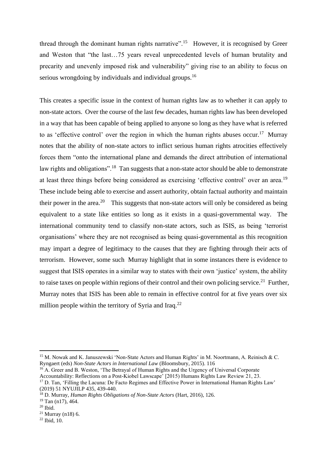thread through the dominant human rights narrative".<sup>15</sup> However, it is recognised by Greer and Weston that "the last…75 years reveal unprecedented levels of human brutality and precarity and unevenly imposed risk and vulnerability" giving rise to an ability to focus on serious wrongdoing by individuals and individual groups.<sup>16</sup>

This creates a specific issue in the context of human rights law as to whether it can apply to non-state actors. Over the course of the last few decades, human rights law has been developed in a way that has been capable of being applied to anyone so long as they have what is referred to as 'effective control' over the region in which the human rights abuses occur.<sup>17</sup> Murray notes that the ability of non-state actors to inflict serious human rights atrocities effectively forces them "onto the international plane and demands the direct attribution of international law rights and obligations".<sup>18</sup> Tan suggests that a non-state actor should be able to demonstrate at least three things before being considered as exercising 'effective control' over an area.<sup>19</sup> These include being able to exercise and assert authority, obtain factual authority and maintain their power in the area.<sup>20</sup> This suggests that non-state actors will only be considered as being equivalent to a state like entities so long as it exists in a quasi-governmental way. The international community tend to classify non-state actors, such as ISIS, as being 'terrorist organisations' where they are not recognised as being quasi-governmental as this recognition may impart a degree of legitimacy to the causes that they are fighting through their acts of terrorism. However, some such Murray highlight that in some instances there is evidence to suggest that ISIS operates in a similar way to states with their own 'justice' system, the ability to raise taxes on people within regions of their control and their own policing service.<sup>21</sup> Further, Murray notes that ISIS has been able to remain in effective control for at five years over six million people within the territory of Syria and Iraq.<sup>22</sup>

<sup>&</sup>lt;sup>15</sup> M. Nowak and K. Januszewski 'Non-State Actors and Human Rights' in M. Noortmann, A. Reinisch & C. Ryngaert (eds) *Non-State Actors in International Law* (Bloomsbury, 2015). 116

<sup>&</sup>lt;sup>16</sup> A. Greer and B. Weston, 'The Betrayal of Human Rights and the Urgency of Universal Corporate Accountability: Reflections on a Post-Kiobel Lawscape' [2015) Humans Rights Law Review 21, 23.

<sup>&</sup>lt;sup>17</sup> D. Tan, 'Filling the Lacuna: De Facto Regimes and Effective Power in International Human Rights Law' (2019) 51 NYUJILP 435, 439-440.

<sup>18</sup> D. Murray, *Human Rights Obligations of Non-State Actors* (Hart, 2016), 126.

 $19$  Tan (n17), 464.

 $20$  Ibid.

 $21$  Murray (n18) 6.

 $22$  Ibid, 10.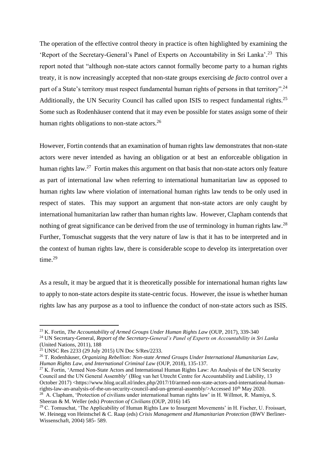The operation of the effective control theory in practice is often highlighted by examining the 'Report of the Secretary-General's Panel of Experts on Accountability in Sri Lanka'.<sup>23</sup> This report noted that "although non-state actors cannot formally become party to a human rights treaty, it is now increasingly accepted that non-state groups exercising *de facto* control over a part of a State's territory must respect fundamental human rights of persons in that territory".<sup>24</sup> Additionally, the UN Security Council has called upon ISIS to respect fundamental rights.<sup>25</sup> Some such as Rodenhäuser contend that it may even be possible for states assign some of their human rights obligations to non-state actors.<sup>26</sup>

However, Fortin contends that an examination of human rights law demonstrates that non-state actors were never intended as having an obligation or at best an enforceable obligation in human rights law.<sup>27</sup> Fortin makes this argument on that basis that non-state actors only feature as part of international law when referring to international humanitarian law as opposed to human rights law where violation of international human rights law tends to be only used in respect of states. This may support an argument that non-state actors are only caught by international humanitarian law rather than human rights law. However, Clapham contends that nothing of great significance can be derived from the use of terminology in human rights law.<sup>28</sup> Further, Tomuschat suggests that the very nature of law is that it has to be interpreted and in the context of human rights law, there is considerable scope to develop its interpretation over time.<sup>29</sup>

As a result, it may be argued that it is theoretically possible for international human rights law to apply to non-state actors despite its state-centric focus. However, the issue is whether human rights law has any purpose as a tool to influence the conduct of non-state actors such as ISIS.

 $^{28}$  A. Clapham, 'Protection of civilians under international human rights law' in H. Willmot, R. Mamiya, S. Sheeran & M. Weller (eds) *Protection of Civilians* (OUP, 2016) 145

<sup>&</sup>lt;sup>23</sup> K. Fortin, *The Accountability of Armed Groups Under Human Rights Law* (OUP, 2017), 339-340

<sup>24</sup> UN Secretary-General, *Report of the Secretary-General's Panel of Experts on Accountability in Sri Lanka* (United Nations, 2011), 188

<sup>25</sup> UNSC Res 2233 (29 July 2015) UN Doc S/Res/2233.

<sup>26</sup> T. Rodenhäuser, *Organizing Rebellion: Non-state Armed Groups Under International Humanitarian Law, Human Rights Law, and International Criminal Law* (OUP, 2018), 135-137.

 $27$  K. Fortin, 'Armed Non-State Actors and International Human Rights Law: An Analysis of the UN Security Council and the UN General Assembly' (Blog van het Utrecht Centre for Accountability and Liability, 13 October 2017) <https://www.blog.ucall.nl/index.php/2017/10/armed-non-state-actors-and-international-humanrights-law-an-analysis-of-the-un-security-council-and-un-general-assembly/>Accessed 10<sup>th</sup> May 2020.

 $29$  C. Tomuschat, 'The Applicability of Human Rights Law to Insurgent Movements' in H. Fischer, U. Froissart, W. Heinegg von Heintschel & C. Raap (eds) *Crisis Management and Humanitarian Protection* (BWV Berliner-Wissenschaft, 2004) 585- 589.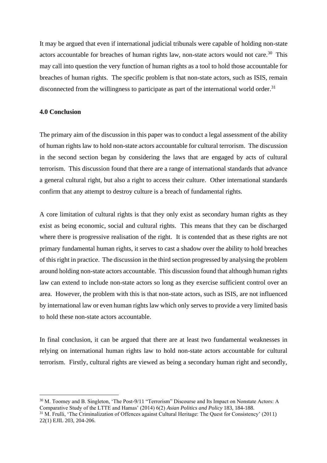It may be argued that even if international judicial tribunals were capable of holding non-state actors accountable for breaches of human rights law, non-state actors would not care.<sup>30</sup> This may call into question the very function of human rights as a tool to hold those accountable for breaches of human rights. The specific problem is that non-state actors, such as ISIS, remain disconnected from the willingness to participate as part of the international world order.<sup>31</sup>

#### **4.0 Conclusion**

The primary aim of the discussion in this paper was to conduct a legal assessment of the ability of human rights law to hold non-state actors accountable for cultural terrorism. The discussion in the second section began by considering the laws that are engaged by acts of cultural terrorism. This discussion found that there are a range of international standards that advance a general cultural right, but also a right to access their culture. Other international standards confirm that any attempt to destroy culture is a breach of fundamental rights.

A core limitation of cultural rights is that they only exist as secondary human rights as they exist as being economic, social and cultural rights. This means that they can be discharged where there is progressive realisation of the right. It is contended that as these rights are not primary fundamental human rights, it serves to cast a shadow over the ability to hold breaches of this right in practice. The discussion in the third section progressed by analysing the problem around holding non-state actors accountable. This discussion found that although human rights law can extend to include non-state actors so long as they exercise sufficient control over an area. However, the problem with this is that non-state actors, such as ISIS, are not influenced by international law or even human rights law which only serves to provide a very limited basis to hold these non-state actors accountable.

In final conclusion, it can be argued that there are at least two fundamental weaknesses in relying on international human rights law to hold non-state actors accountable for cultural terrorism. Firstly, cultural rights are viewed as being a secondary human right and secondly,

<sup>30</sup> M. Toomey and B. Singleton, 'The Post-9/11 "Terrorism" Discourse and Its Impact on Nonstate Actors: A Comparative Study of the LTTE and Hamas' (2014) 6(2) *Asian Politics and Policy* 183, 184-188.

<sup>31</sup> M. Frulli, 'The Criminalization of Offences against Cultural Heritage: The Quest for Consistency' (2011) 22(1) EJIL 203, 204-206.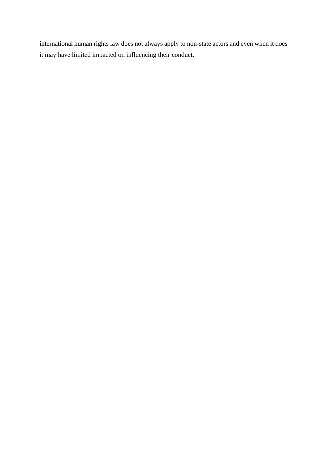international human rights law does not always apply to non-state actors and even when it does it may have limited impacted on influencing their conduct.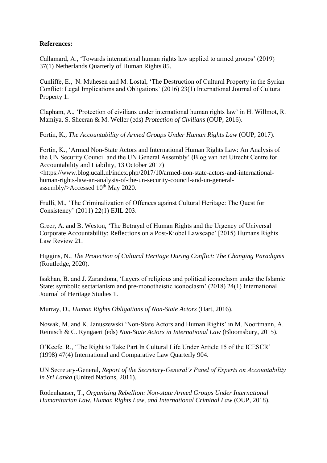## **References:**

Callamard, A., 'Towards international human rights law applied to armed groups' (2019) 37(1) Netherlands Quarterly of Human Rights 85.

Cunliffe, E., N. Muhesen and M. Lostal, 'The Destruction of Cultural Property in the Syrian Conflict: Legal Implications and Obligations' (2016) 23(1) International Journal of Cultural Property 1.

Clapham, A., 'Protection of civilians under international human rights law' in H. Willmot, R. Mamiya, S. Sheeran & M. Weller (eds) *Protection of Civilians* (OUP, 2016).

Fortin, K., *The Accountability of Armed Groups Under Human Rights Law* (OUP, 2017).

Fortin, K., 'Armed Non-State Actors and International Human Rights Law: An Analysis of the UN Security Council and the UN General Assembly' (Blog van het Utrecht Centre for Accountability and Liability, 13 October 2017)

<https://www.blog.ucall.nl/index.php/2017/10/armed-non-state-actors-and-internationalhuman-rights-law-an-analysis-of-the-un-security-council-and-un-generalassembly/>Accessed  $10^{th}$  May 2020.

Frulli, M., 'The Criminalization of Offences against Cultural Heritage: The Quest for Consistency' (2011) 22(1) EJIL 203.

Greer, A. and B. Weston, 'The Betrayal of Human Rights and the Urgency of Universal Corporate Accountability: Reflections on a Post-Kiobel Lawscape' [2015) Humans Rights Law Review 21.

Higgins, N., *The Protection of Cultural Heritage During Conflict: The Changing Paradigms* (Routledge, 2020).

Isakhan, B. and J. Zarandona, 'Layers of religious and political iconoclasm under the Islamic State: symbolic sectarianism and pre-monotheistic iconoclasm' (2018) 24(1) International Journal of Heritage Studies 1.

Murray, D., *Human Rights Obligations of Non-State Actors* (Hart, 2016).

Nowak, M. and K. Januszewski 'Non-State Actors and Human Rights' in M. Noortmann, A. Reinisch & C. Ryngaert (eds) *Non-State Actors in International Law* (Bloomsbury, 2015).

O'Keefe. R., 'The Right to Take Part In Cultural Life Under Article 15 of the ICESCR' (1998) 47(4) International and Comparative Law Quarterly 904.

UN Secretary-General, *Report of the Secretary-General's Panel of Experts on Accountability in Sri Lanka* (United Nations, 2011).

Rodenhäuser, T., *Organizing Rebellion: Non-state Armed Groups Under International Humanitarian Law, Human Rights Law, and International Criminal Law* (OUP, 2018).